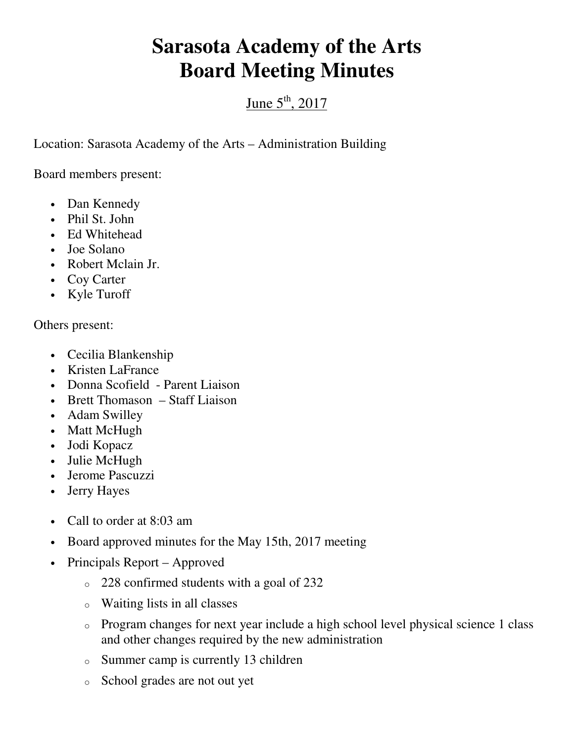## **Sarasota Academy of the Arts Board Meeting Minutes**

## June  $5<sup>th</sup>$ , 2017

Location: Sarasota Academy of the Arts – Administration Building

Board members present:

- Dan Kennedy
- Phil St. John
- Ed Whitehead
- Joe Solano
- Robert Mclain Jr.
- Coy Carter
- Kyle Turoff

Others present:

- Cecilia Blankenship
- Kristen LaFrance
- Donna Scofield Parent Liaison
- Brett Thomason Staff Liaison
- Adam Swilley
- Matt McHugh
- Jodi Kopacz
- Julie McHugh
- Jerome Pascuzzi
- Jerry Hayes
- Call to order at 8:03 am
- Board approved minutes for the May 15th, 2017 meeting
- Principals Report Approved
	- o 228 confirmed students with a goal of 232
	- o Waiting lists in all classes
	- o Program changes for next year include a high school level physical science 1 class and other changes required by the new administration
	- o Summer camp is currently 13 children
	- o School grades are not out yet